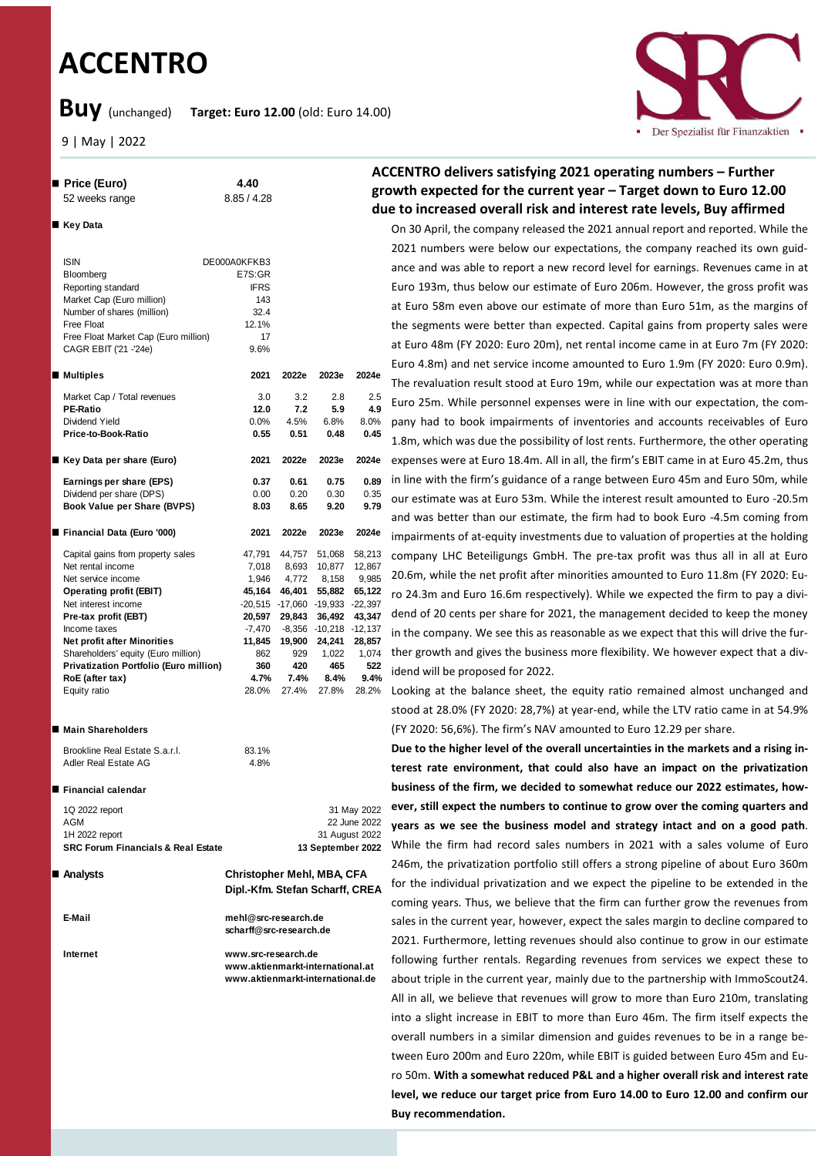# **ACCENTRO**

n **Price (Euro) 4.40** 52 weeks range 8.85 / 4.28

**Buy** (unchanged) **Target: Euro 12.00** (old: Euro 14.00)

9 | May | 2022



# **ACCENTRO delivers satisfying 2021 operating numbers – Further growth expected for the current year – Target down to Euro 12.00 due to increased overall risk and interest rate levels, Buy affirmed**

On 30 April, the company released the 2021 annual report and reported. While the 2021 numbers were below our expectations, the company reached its own guidance and was able to report a new record level for earnings. Revenues came in at Euro 193m, thus below our estimate of Euro 206m. However, the gross profit was at Euro 58m even above our estimate of more than Euro 51m, as the margins of the segments were better than expected. Capital gains from property sales were at Euro 48m (FY 2020: Euro 20m), net rental income came in at Euro 7m (FY 2020: Euro 4.8m) and net service income amounted to Euro 1.9m (FY 2020: Euro 0.9m). The revaluation result stood at Euro 19m, while our expectation was at more than Euro 25m. While personnel expenses were in line with our expectation, the company had to book impairments of inventories and accounts receivables of Euro 1.8m, which was due the possibility of lost rents. Furthermore, the other operating expenses were at Euro 18.4m. All in all, the firm's EBIT came in at Euro 45.2m, thus in line with the firm's guidance of a range between Euro 45m and Euro 50m, while our estimate was at Euro 53m. While the interest result amounted to Euro -20.5m and was better than our estimate, the firm had to book Euro -4.5m coming from impairments of at-equity investments due to valuation of properties at the holding company LHC Beteiligungs GmbH. The pre-tax profit was thus all in all at Euro 20.6m, while the net profit after minorities amounted to Euro 11.8m (FY 2020: Euro 24.3m and Euro 16.6m respectively). While we expected the firm to pay a dividend of 20 cents per share for 2021, the management decided to keep the money in the company. We see this as reasonable as we expect that this will drive the further growth and gives the business more flexibility. We however expect that a dividend will be proposed for 2022.

Looking at the balance sheet, the equity ratio remained almost unchanged and stood at 28.0% (FY 2020: 28,7%) at year-end, while the LTV ratio came in at 54.9% (FY 2020: 56,6%). The firm's NAV amounted to Euro 12.29 per share.

**Due to the higher level of the overall uncertainties in the markets and a rising interest rate environment, that could also have an impact on the privatization business of the firm, we decided to somewhat reduce our 2022 estimates, however, still expect the numbers to continue to grow over the coming quarters and years as we see the business model and strategy intact and on a good path**. While the firm had record sales numbers in 2021 with a sales volume of Euro 246m, the privatization portfolio still offers a strong pipeline of about Euro 360m for the individual privatization and we expect the pipeline to be extended in the coming years. Thus, we believe that the firm can further grow the revenues from sales in the current year, however, expect the sales margin to decline compared to 2021. Furthermore, letting revenues should also continue to grow in our estimate following further rentals. Regarding revenues from services we expect these to about triple in the current year, mainly due to the partnership with ImmoScout24. All in all, we believe that revenues will grow to more than Euro 210m, translating into a slight increase in EBIT to more than Euro 46m. The firm itself expects the overall numbers in a similar dimension and guides revenues to be in a range between Euro 200m and Euro 220m, while EBIT is guided between Euro 45m and Euro 50m. **With a somewhat reduced P&L and a higher overall risk and interest rate level, we reduce our target price from Euro 14.00 to Euro 12.00 and confirm our Buy recommendation.**

| Key Data |
|----------|
|----------|

| <b>ISIN</b>                            | DE000A0KFKB3 |               |                                 |         |
|----------------------------------------|--------------|---------------|---------------------------------|---------|
| Bloomberg                              | E7S:GR       |               |                                 |         |
| Reporting standard                     | <b>IFRS</b>  |               |                                 |         |
| Market Cap (Euro million)              | 143          |               |                                 |         |
| Number of shares (million)             | 32.4         |               |                                 |         |
| Free Float                             | 12.1%        |               |                                 |         |
| Free Float Market Cap (Euro million)   | 17           |               |                                 |         |
| CAGR EBIT ('21 -'24e)                  | 9.6%         |               |                                 |         |
| ■ Multiples                            | 2021         | 2022e         | 2023e                           | 2024e   |
|                                        |              |               |                                 |         |
| Market Cap / Total revenues            | 3.0          | 3.2           | 2.8                             | $2.5\,$ |
| <b>PE-Ratio</b>                        | 12.0         | 7.2           | 5.9                             | 4.9     |
| Dividend Yield                         | $0.0\%$      | 4.5%          | 6.8%                            | 8.0%    |
| Price-to-Book-Ratio                    | 0.55         | 0.51          | 0.48                            | 0.45    |
| ■ Key Data per share (Euro)            | 2021         | 2022e         | 2023e                           | 2024e   |
| Earnings per share (EPS)               | 0.37         | 0.61          | 0.75                            | 0.89    |
| Dividend per share (DPS)               | 0.00         | 0.20          | 0.30                            | 0.35    |
| Book Value per Share (BVPS)            | 8.03         | 8.65          | 9.20                            | 9.79    |
|                                        |              |               |                                 |         |
| Financial Data (Euro '000)             | 2021         | 2022e         | 2023e                           | 2024e   |
| Capital gains from property sales      | 47,791       | 44,757        | 51,068                          | 58,213  |
| Net rental income                      | 7,018        | 8,693         | 10,877                          | 12,867  |
| Net service income                     | 1,946        | 4.772         | 8,158                           | 9,985   |
| <b>Operating profit (EBIT)</b>         | 45,164       | 46,401        | 55,882                          | 65,122  |
| Net interest income                    |              |               | -20,515 -17,060 -19,933 -22,397 |         |
| Pre-tax profit (EBT)                   |              | 20,597 29,843 | 36,492                          | 43,347  |
| Income taxes                           |              |               | -7,470 -8,356 -10,218 -12,137   |         |
| <b>Net profit after Minorities</b>     | 11,845       | 19,900        | 24,241                          | 28,857  |
| Shareholders' equity (Euro million)    | 862          | 929           | 1,022                           | 1,074   |
| Privatization Portfolio (Euro million) | 360          | 420           | 465                             | 522     |
| RoE (after tax)                        | 4.7%         | 7.4%          | 8.4%                            | 9.4%    |
| Equity ratio                           | 28.0%        | 27.4%         | 27.8%                           | 28.2%   |
|                                        |              |               |                                 |         |
| ■ Main Shareholders                    |              |               |                                 |         |
| Brookline Real Estate S.a.r.l.         | 83.1%        |               |                                 |         |
| Adler Real Estate AG                   | 4.8%         |               |                                 |         |
|                                        |              |               |                                 |         |

**■ Financial calendar** 

| 1Q 2022 report                                |  |
|-----------------------------------------------|--|
| AGM                                           |  |
| 1H 2022 report                                |  |
| <b>SRC Forum Financials &amp; Real Estate</b> |  |
|                                               |  |

Analysts

 **Analysts Christopher Mehl, MBA, CFA Dipl.-Kfm. Stefan Scharff, CREA**

**scharff@src-research.de**

31 May 2022 22 June 2022 31 August 2022 **SRC Forum Financials & Real Estate 13 September 2022**

**E-Mail mehl@src-research.de**

**Internet www.src-research.de www.aktienmarkt-international.at www.aktienmarkt-international.de**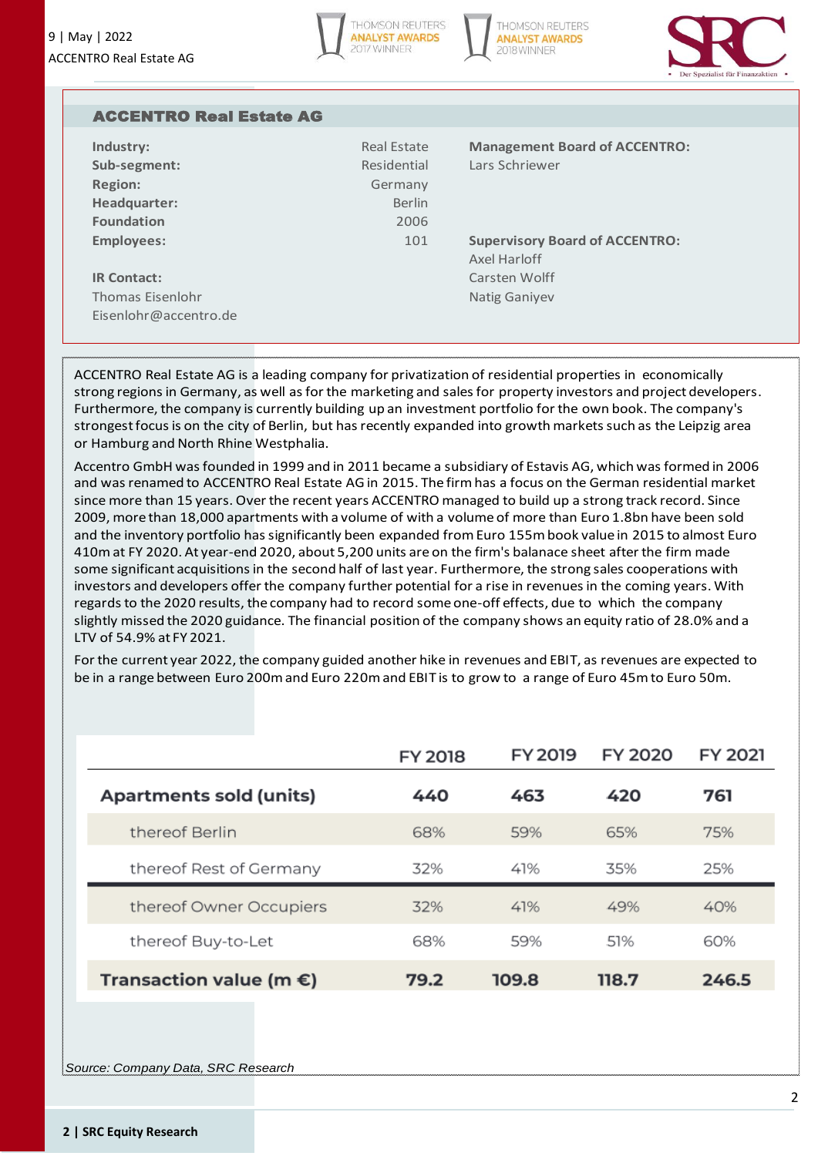





| <b>ACCENTRO Real Estate AG</b> |               |                                       |
|--------------------------------|---------------|---------------------------------------|
| Industry:                      | Real Estate   | <b>Management Board of ACCENTRO:</b>  |
| Sub-segment:                   | Residential   | Lars Schriewer                        |
| <b>Region:</b>                 | Germany       |                                       |
| Headquarter:                   | <b>Berlin</b> |                                       |
| <b>Foundation</b>              | 2006          |                                       |
| <b>Employees:</b>              | 101           | <b>Supervisory Board of ACCENTRO:</b> |
|                                |               | Axel Harloff                          |
| <b>IR Contact:</b>             |               | Carsten Wolff                         |
| <b>Thomas Eisenlohr</b>        |               | <b>Natig Ganiyev</b>                  |
| Eisenlohr@accentro.de          |               |                                       |

ACCENTRO Real Estate AG is a leading company for privatization of residential properties in economically strong regions in Germany, as well as for the marketing and sales for property investors and project developers. Furthermore, the company is currently building up an investment portfolio for the own book. The company's strongest focus is on the city of Berlin, but has recently expanded into growth markets such as the Leipzig area or Hamburg and North Rhine Westphalia.

Accentro GmbH was founded in 1999 and in 2011 became a subsidiary of Estavis AG, which was formed in 2006 and was renamed to ACCENTRO Real Estate AG in 2015. The firm has a focus on the German residential market since more than 15 years. Over the recent years ACCENTRO managed to build up a strong track record. Since 2009, more than 18,000 apartments with a volume of with a volume of more than Euro 1.8bn have been sold and the inventory portfolio has significantly been expanded from Euro 155m book value in 2015 to almost Euro 410m at FY 2020. At year-end 2020, about 5,200 units are on the firm's balanace sheet after the firm made some significant acquisitions in the second half of last year. Furthermore, the strong sales cooperations with investors and developers offer the company further potential for a rise in revenues in the coming years. With regards to the 2020 results, the company had to record some one-off effects, due to which the company slightly missed the 2020 guidance. The financial position of the company shows an equity ratio of 28.0% and a LTV of 54.9% at FY 2021.

For the current year 2022, the company guided another hike in revenues and EBIT, as revenues are expected to be in a range between Euro 200m and Euro 220m and EBIT is to grow to a range of Euro 45m to Euro 50m.

|                                   | <b>FY 2018</b> | <b>FY 2019</b> | <b>FY 2020</b> | <b>FY 2021</b> |
|-----------------------------------|----------------|----------------|----------------|----------------|
| <b>Apartments sold (units)</b>    | 440            | 463            | 420            | 761            |
| thereof Berlin                    | 68%            | 59%            | 65%            | 75%            |
| thereof Rest of Germany           | 32%            | 41%            | 35%            | 25%            |
| thereof Owner Occupiers           | 32%            | 41%            | 49%            | 40%            |
| thereof Buy-to-Let                | 68%            | 59%            | .51%           | 60%            |
| Transaction value (m $\epsilon$ ) | 79.2           | 109.8          | 118.7          | 246.5          |

*Source: Company Data, SRC Research*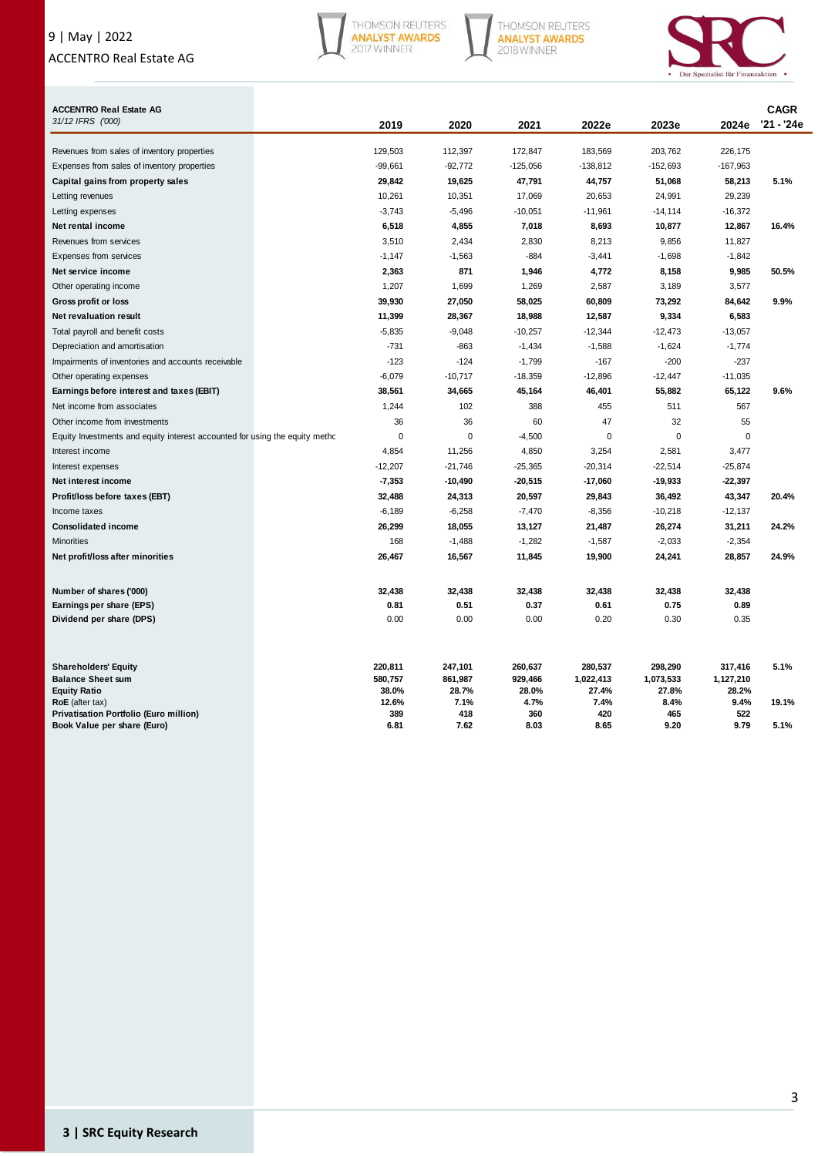# 9 | May | 2022 ACCENTRO Real Estate AG







| <b>ACCENTRO Real Estate AG</b>                                              |              |             |             |             |             |             | <b>CAGR</b> |
|-----------------------------------------------------------------------------|--------------|-------------|-------------|-------------|-------------|-------------|-------------|
| 31/12 IFRS ('000)                                                           | 2019         | 2020        | 2021        | 2022e       | 2023e       | 2024e       | '21 - '24e  |
| Revenues from sales of inventory properties                                 | 129,503      | 112,397     | 172,847     | 183,569     | 203,762     | 226,175     |             |
| Expenses from sales of inventory properties                                 | $-99,661$    | $-92,772$   | $-125,056$  | $-138,812$  | -152,693    | $-167,963$  |             |
| Capital gains from property sales                                           | 29,842       | 19,625      | 47,791      | 44,757      | 51,068      | 58,213      | 5.1%        |
| Letting revenues                                                            | 10,261       | 10,351      | 17,069      | 20,653      | 24,991      | 29,239      |             |
| Letting expenses                                                            | $-3,743$     | $-5,496$    | $-10,051$   | $-11,961$   | $-14,114$   | $-16,372$   |             |
| Net rental income                                                           | 6,518        | 4,855       | 7,018       | 8,693       | 10,877      | 12,867      | 16.4%       |
| Revenues from services                                                      | 3,510        | 2,434       | 2,830       | 8,213       | 9,856       | 11,827      |             |
| <b>Expenses from services</b>                                               | $-1,147$     | $-1,563$    | $-884$      | $-3,441$    | $-1,698$    | $-1,842$    |             |
| Net service income                                                          | 2,363        | 871         | 1,946       | 4,772       | 8,158       | 9,985       | 50.5%       |
| Other operating income                                                      | 1,207        | 1,699       | 1,269       | 2,587       | 3,189       | 3,577       |             |
| Gross profit or loss                                                        | 39,930       | 27,050      | 58,025      | 60,809      | 73,292      | 84,642      | 9.9%        |
| Net revaluation result                                                      | 11,399       | 28,367      | 18,988      | 12,587      | 9,334       | 6,583       |             |
| Total payroll and benefit costs                                             | $-5,835$     | $-9,048$    | $-10,257$   | $-12,344$   | $-12,473$   | $-13,057$   |             |
| Depreciation and amortisation                                               | $-731$       | $-863$      | $-1,434$    | $-1,588$    | $-1,624$    | $-1,774$    |             |
| Impairments of inventories and accounts receivable                          | $-123$       | $-124$      | $-1,799$    | $-167$      | $-200$      | $-237$      |             |
| Other operating expenses                                                    | $-6,079$     | $-10,717$   | $-18,359$   | $-12,896$   | $-12,447$   | $-11,035$   |             |
| Earnings before interest and taxes (EBIT)                                   | 38,561       | 34,665      | 45,164      | 46,401      | 55,882      | 65,122      | 9.6%        |
| Net income from associates                                                  | 1,244        | 102         | 388         | 455         | 511         | 567         |             |
| Other income from investments                                               | 36           | 36          | 60          | 47          | 32          | 55          |             |
| Equity Investments and equity interest accounted for using the equity metho | 0            | $\mathbf 0$ | $-4,500$    | $\mathbf 0$ | 0           | 0           |             |
| Interest income                                                             | 4,854        | 11,256      | 4,850       | 3,254       | 2,581       | 3,477       |             |
| Interest expenses                                                           | $-12,207$    | $-21,746$   | $-25,365$   | $-20,314$   | $-22,514$   | $-25,874$   |             |
| Net interest income                                                         | $-7,353$     | $-10,490$   | $-20,515$   | $-17,060$   | $-19,933$   | $-22,397$   |             |
| Profit/loss before taxes (EBT)                                              | 32,488       | 24,313      | 20,597      | 29,843      | 36,492      | 43,347      | 20.4%       |
| Income taxes                                                                | $-6,189$     | $-6,258$    | $-7,470$    | $-8,356$    | $-10,218$   | $-12,137$   |             |
| <b>Consolidated income</b>                                                  | 26,299       | 18,055      | 13,127      | 21,487      | 26,274      | 31,211      | 24.2%       |
| <b>Minorities</b>                                                           | 168          | $-1,488$    | $-1,282$    | $-1,587$    | $-2,033$    | $-2,354$    |             |
| Net profit/loss after minorities                                            | 26,467       | 16,567      | 11,845      | 19,900      | 24,241      | 28,857      | 24.9%       |
| Number of shares ('000)                                                     | 32,438       | 32,438      | 32,438      | 32,438      | 32,438      | 32,438      |             |
| Earnings per share (EPS)                                                    | 0.81         | 0.51        | 0.37        | 0.61        | 0.75        | 0.89        |             |
| Dividend per share (DPS)                                                    | 0.00         | 0.00        | 0.00        | 0.20        | 0.30        | 0.35        |             |
| <b>Shareholders' Equity</b>                                                 | 220,811      | 247,101     | 260,637     | 280,537     | 298,290     | 317,416     | 5.1%        |
| <b>Balance Sheet sum</b>                                                    | 580,757      | 861,987     | 929,466     | 1,022,413   | 1,073,533   | 1,127,210   |             |
| <b>Equity Ratio</b>                                                         | 38.0%        | 28.7%       | 28.0%       | 27.4%       | 27.8%       | 28.2%       |             |
| RoE (after tax)<br><b>Privatisation Portfolio (Euro million)</b>            | 12.6%<br>389 | 7.1%<br>418 | 4.7%<br>360 | 7.4%<br>420 | 8.4%<br>465 | 9.4%<br>522 | 19.1%       |
| Book Value per share (Euro)                                                 | 6.81         | 7.62        | 8.03        | 8.65        | 9.20        | 9.79        | 5.1%        |